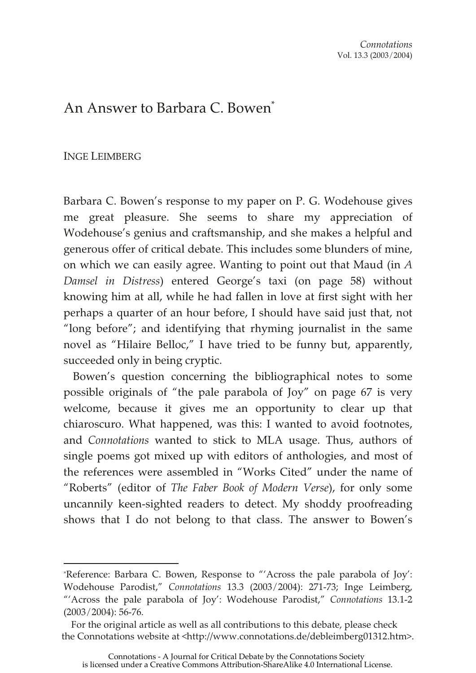## An Answer to Barbara C. Bowen<sup>\*</sup>

## INGE LEIMBERG

Barbara C. Bowen's response to my paper on P. G. Wodehouse gives me great pleasure. She seems to share my appreciation of Wodehouse's genius and craftsmanship, and she makes a helpful and generous offer of critical debate. This includes some blunders of mine, on which we can easily agree. Wanting to point out that Maud (in *A Damsel in Distress*) entered George's taxi (on page 58) without knowing him at all, while he had fallen in love at first sight with her perhaps a quarter of an hour before, I should have said just that, not "long before"; and identifying that rhyming journalist in the same novel as "Hilaire Belloc," I have tried to be funny but, apparently, succeeded only in being cryptic.

Bowen's question concerning the bibliographical notes to some possible originals of "the pale parabola of Joy" on page 67 is very welcome, because it gives me an opportunity to clear up that chiaroscuro. What happened, was this: I wanted to avoid footnotes, and *Connotations* wanted to stick to MLA usage. Thus, authors of single poems got mixed up with editors of anthologies, and most of the references were assembled in "Works Cited" under the name of "Roberts" (editor of *The Faber Book of Modern Verse*), for only some uncannily keen-sighted readers to detect. My shoddy proofreading shows that I do not belong to that class. The answer to Bowen's

<sup>\*</sup>Reference: Barbara C. Bowen, Response to "'Across the pale parabola of Joy': Wodehouse Parodist," *Connotations* 13.3 (2003/2004): 271-73; Inge Leimberg, "'Across the pale parabola of Joy': Wodehouse Parodist," *Connotations* 13.1-2 (2003/2004): 56-76.

For the original article as well as all contributions to this debate, please check the Connotations website at <http://www.connotations.de/debleimberg01312.htm>.

Connotations - A Journal for Critical Debate by the Connotations Society is licensed under a Creative Commons Attribution-ShareAlike 4.0 International License.